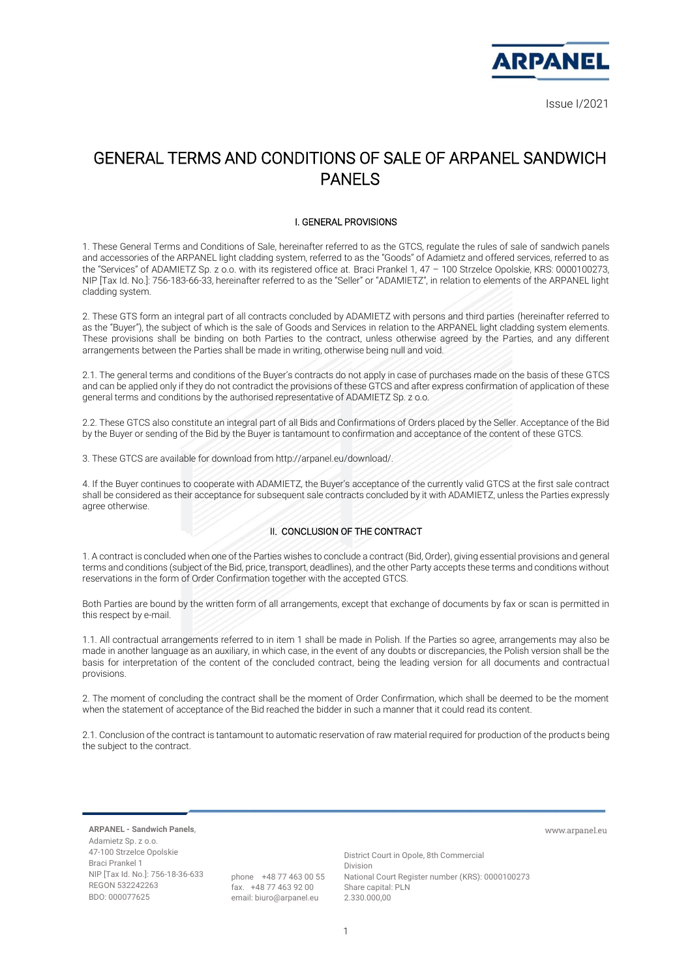

# GENERAL TERMS AND CONDITIONS OF SALE OF ARPANEL SANDWICH PANELS

### I. GENERAL PROVISIONS

1. These General Terms and Conditions of Sale, hereinafter referred to as the GTCS, regulate the rules of sale of sandwich panels and accessories of the ARPANEL light cladding system, referred to as the "Goods" of Adamietz and offered services, referred to as the "Services" of ADAMIETZ Sp. z o.o. with its registered office at. Braci Prankel 1, 47 – 100 Strzelce Opolskie, KRS: 0000100273, NIP [Tax Id. No.]: 756-183-66-33, hereinafter referred to as the "Seller" or "ADAMIETZ", in relation to elements of the ARPANEL light cladding system.

2. These GTS form an integral part of all contracts concluded by ADAMIETZ with persons and third parties (hereinafter referred to as the "Buyer"), the subject of which is the sale of Goods and Services in relation to the ARPANEL light cladding system elements. These provisions shall be binding on both Parties to the contract, unless otherwise agreed by the Parties, and any different arrangements between the Parties shall be made in writing, otherwise being null and void.

2.1. The general terms and conditions of the Buyer's contracts do not apply in case of purchases made on the basis of these GTCS and can be applied only if they do not contradict the provisions of these GTCS and after express confirmation of application of these general terms and conditions by the authorised representative of ADAMIETZ Sp. z o.o.

2.2. These GTCS also constitute an integral part of all Bids and Confirmations of Orders placed by the Seller. Acceptance of the Bid by the Buyer or sending of the Bid by the Buyer is tantamount to confirmation and acceptance of the content of these GTCS.

3. These GTCS are available for download from http://arpanel.eu/download/.

4. If the Buyer continues to cooperate with ADAMIETZ, the Buyer's acceptance of the currently valid GTCS at the first sale contract shall be considered as their acceptance for subsequent sale contracts concluded by it with ADAMIETZ, unless the Parties expressly agree otherwise.

# II. CONCLUSION OF THE CONTRACT

1. A contract is concluded when one of the Parties wishes to conclude a contract (Bid, Order), giving essential provisions and general terms and conditions (subject of the Bid, price, transport, deadlines), and the other Party accepts these terms and conditions without reservations in the form of Order Confirmation together with the accepted GTCS.

Both Parties are bound by the written form of all arrangements, except that exchange of documents by fax or scan is permitted in this respect by e-mail.

1.1. All contractual arrangements referred to in item 1 shall be made in Polish. If the Parties so agree, arrangements may also be made in another language as an auxiliary, in which case, in the event of any doubts or discrepancies, the Polish version shall be the basis for interpretation of the content of the concluded contract, being the leading version for all documents and contractual provisions.

2. The moment of concluding the contract shall be the moment of Order Confirmation, which shall be deemed to be the moment when the statement of acceptance of the Bid reached the bidder in such a manner that it could read its content.

2.1. Conclusion of the contract is tantamount to automatic reservation of raw material required for production of the products being the subject to the contract.

**ARPANEL - Sandwich Panels**, Adamietz Sp. z o.o. 47-100 Strzelce Opolskie Braci Prankel 1 NIP [Tax Id. No.]: 756-18-36-633 REGON 532242263 BDO: 000077625

phone +48 77 463 00 55 fax. +48 77 463 92 00 email: biuro@arpanel.eu

District Court in Opole, 8th Commercial Division National Court Register number (KRS): 0000100273 Share capital: PLN 2.330.000,00

www.arpanel.eu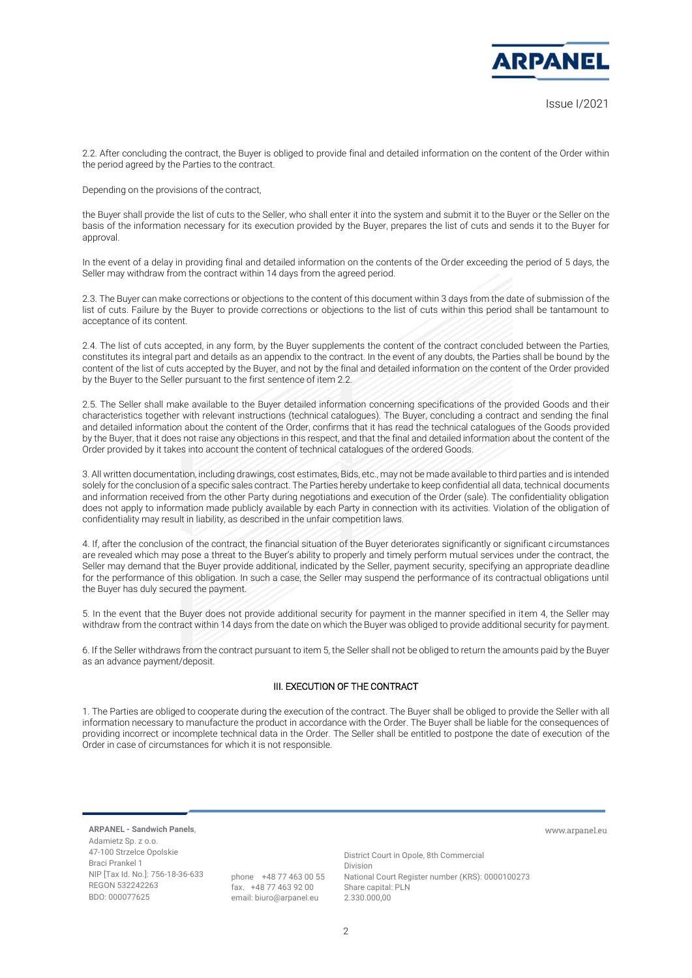

2.2. After concluding the contract, the Buyer is obliged to provide final and detailed information on the content of the Order within the period agreed by the Parties to the contract.

Depending on the provisions of the contract,

the Buyer shall provide the list of cuts to the Seller, who shall enter it into the system and submit it to the Buyer or the Seller on the basis of the information necessary for its execution provided by the Buyer, prepares the list of cuts and sends it to the Buyer for approval.

In the event of a delay in providing final and detailed information on the contents of the Order exceeding the period of 5 days, the Seller may withdraw from the contract within 14 days from the agreed period.

2.3. The Buyer can make corrections or objections to the content of this document within 3 days from the date of submission of the list of cuts. Failure by the Buyer to provide corrections or objections to the list of cuts within this period shall be tantamount to acceptance of its content.

2.4. The list of cuts accepted, in any form, by the Buyer supplements the content of the contract concluded between the Parties, constitutes its integral part and details as an appendix to the contract. In the event of any doubts, the Parties shall be bound by the content of the list of cuts accepted by the Buyer, and not by the final and detailed information on the content of the Order provided by the Buyer to the Seller pursuant to the first sentence of item 2.2.

2.5. The Seller shall make available to the Buyer detailed information concerning specifications of the provided Goods and their characteristics together with relevant instructions (technical catalogues). The Buyer, concluding a contract and sending the final and detailed information about the content of the Order, confirms that it has read the technical catalogues of the Goods provided by the Buyer, that it does not raise any objections in this respect, and that the final and detailed information about the content of the Order provided by it takes into account the content of technical catalogues of the ordered Goods.

3. All written documentation, including drawings, cost estimates, Bids, etc., may not be made available to third parties and is intended solely for the conclusion of a specific sales contract. The Parties hereby undertake to keep confidential all data, technical documents and information received from the other Party during negotiations and execution of the Order (sale). The confidentiality obligation does not apply to information made publicly available by each Party in connection with its activities. Violation of the obligation of confidentiality may result in liability, as described in the unfair competition laws.

4. If, after the conclusion of the contract, the financial situation of the Buyer deteriorates significantly or significant circumstances are revealed which may pose a threat to the Buyer's ability to properly and timely perform mutual services under the contract, the Seller may demand that the Buyer provide additional, indicated by the Seller, payment security, specifying an appropriate deadline for the performance of this obligation. In such a case, the Seller may suspend the performance of its contractual obligations until the Buyer has duly secured the payment.

5. In the event that the Buyer does not provide additional security for payment in the manner specified in item 4, the Seller may withdraw from the contract within 14 days from the date on which the Buyer was obliged to provide additional security for payment.

6. If the Seller withdraws from the contract pursuant to item 5, the Seller shall not be obliged to return the amounts paid by the Buyer as an advance payment/deposit.

# III. EXECUTION OF THE CONTRACT

1. The Parties are obliged to cooperate during the execution of the contract. The Buyer shall be obliged to provide the Seller with all information necessary to manufacture the product in accordance with the Order. The Buyer shall be liable for the consequences of providing incorrect or incomplete technical data in the Order. The Seller shall be entitled to postpone the date of execution of the Order in case of circumstances for which it is not responsible.

**ARPANEL - Sandwich Panels**, Adamietz Sp. z o.o. 47-100 Strzelce Opolskie Braci Prankel 1 NIP [Tax Id. No.]: 756-18-36-633 REGON 532242263 BDO: 000077625

phone +48 77 463 00 55 fax. +48 77 463 92 00 email: biuro@arpanel.eu

District Court in Opole, 8th Commercial Division National Court Register number (KRS): 0000100273 Share capital: PLN 2.330.000,00

www.arpanel.eu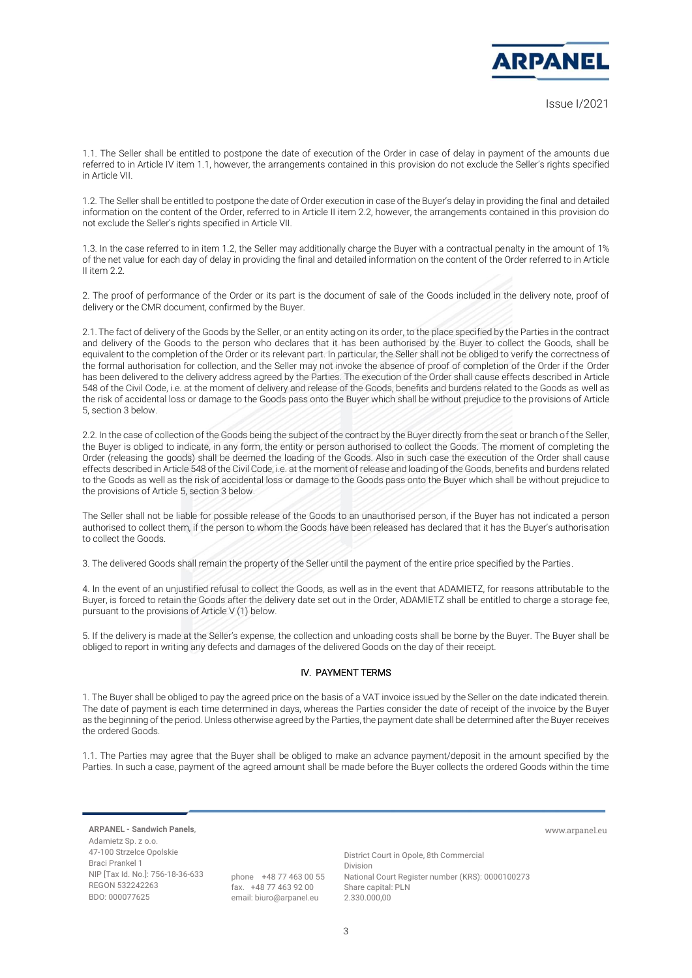

www.arpanel.eu

1.1. The Seller shall be entitled to postpone the date of execution of the Order in case of delay in payment of the amounts due referred to in Article IV item 1.1, however, the arrangements contained in this provision do not exclude the Seller's rights specified in Article VII.

1.2. The Seller shall be entitled to postpone the date of Order execution in case of the Buyer's delay in providing the final and detailed information on the content of the Order, referred to in Article II item 2.2, however, the arrangements contained in this provision do not exclude the Seller's rights specified in Article VII.

1.3. In the case referred to in item 1.2, the Seller may additionally charge the Buyer with a contractual penalty in the amount of 1% of the net value for each day of delay in providing the final and detailed information on the content of the Order referred to in Article II item 2.2.

2. The proof of performance of the Order or its part is the document of sale of the Goods included in the delivery note, proof of delivery or the CMR document, confirmed by the Buyer.

2.1.The fact of delivery of the Goods by the Seller, or an entity acting on its order, to the place specified by the Parties in the contract and delivery of the Goods to the person who declares that it has been authorised by the Buyer to collect the Goods, shall be equivalent to the completion of the Order or its relevant part. In particular, the Seller shall not be obliged to verify the correctness of the formal authorisation for collection, and the Seller may not invoke the absence of proof of completion of the Order if the Order has been delivered to the delivery address agreed by the Parties. The execution of the Order shall cause effects described in Article 548 of the Civil Code, i.e. at the moment of delivery and release of the Goods, benefits and burdens related to the Goods as well as the risk of accidental loss or damage to the Goods pass onto the Buyer which shall be without prejudice to the provisions of Article 5, section 3 below.

2.2. In the case of collection of the Goods being the subject of the contract by the Buyer directly from the seat or branch of the Seller, the Buyer is obliged to indicate, in any form, the entity or person authorised to collect the Goods. The moment of completing the Order (releasing the goods) shall be deemed the loading of the Goods. Also in such case the execution of the Order shall cause effects described in Article 548 of the Civil Code, i.e. at the moment of release and loading of the Goods, benefits and burdens related to the Goods as well as the risk of accidental loss or damage to the Goods pass onto the Buyer which shall be without prejudice to the provisions of Article 5, section 3 below.

The Seller shall not be liable for possible release of the Goods to an unauthorised person, if the Buyer has not indicated a person authorised to collect them, if the person to whom the Goods have been released has declared that it has the Buyer's authorisation to collect the Goods.

3. The delivered Goods shall remain the property of the Seller until the payment of the entire price specified by the Parties.

4. In the event of an unjustified refusal to collect the Goods, as well as in the event that ADAMIETZ, for reasons attributable to the Buyer, is forced to retain the Goods after the delivery date set out in the Order, ADAMIETZ shall be entitled to charge a storage fee, pursuant to the provisions of Article V (1) below.

5. If the delivery is made at the Seller's expense, the collection and unloading costs shall be borne by the Buyer. The Buyer shall be obliged to report in writing any defects and damages of the delivered Goods on the day of their receipt.

# IV. PAYMENT TERMS

1. The Buyer shall be obliged to pay the agreed price on the basis of a VAT invoice issued by the Seller on the date indicated therein. The date of payment is each time determined in days, whereas the Parties consider the date of receipt of the invoice by the Buyer as the beginning of the period. Unless otherwise agreed by the Parties, the payment date shall be determined after the Buyer receives the ordered Goods.

1.1. The Parties may agree that the Buyer shall be obliged to make an advance payment/deposit in the amount specified by the Parties. In such a case, payment of the agreed amount shall be made before the Buyer collects the ordered Goods within the time

**ARPANEL - Sandwich Panels**, Adamietz Sp. z o.o. 47-100 Strzelce Opolskie Braci Prankel 1 NIP [Tax Id. No.]: 756-18-36-633 REGON 532242263 BDO: 000077625

phone +48 77 463 00 55 fax. +48 77 463 92 00 email: biuro@arpanel.eu

District Court in Opole, 8th Commercial Division National Court Register number (KRS): 0000100273 Share capital: PLN 2.330.000,00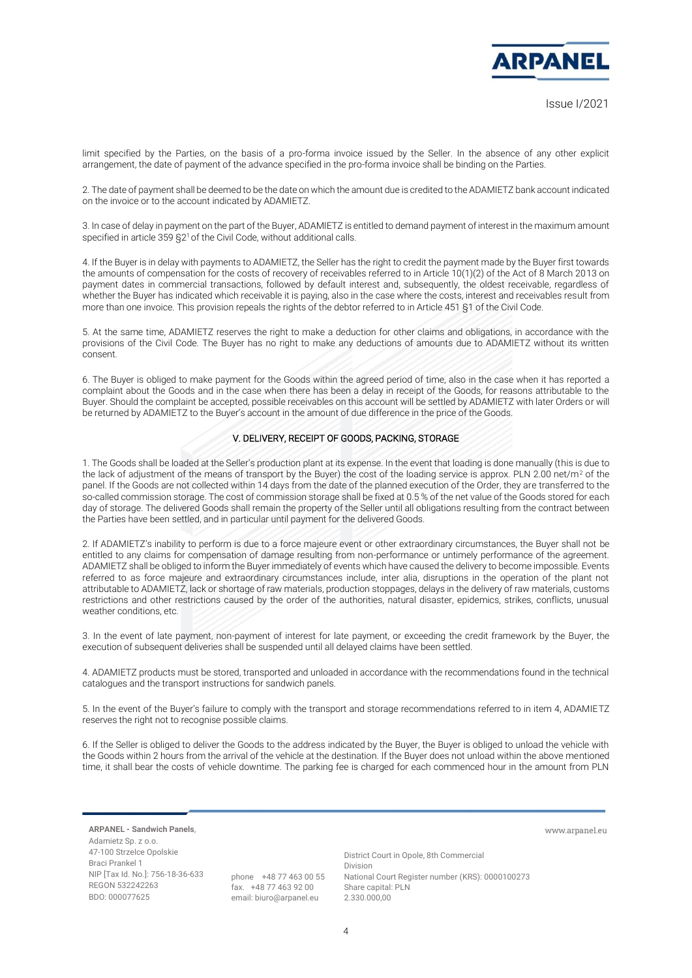

www.arpanel.eu

limit specified by the Parties, on the basis of a pro-forma invoice issued by the Seller. In the absence of any other explicit arrangement, the date of payment of the advance specified in the pro-forma invoice shall be binding on the Parties.

2. The date of payment shall be deemed to be the date on which the amount due is credited to the ADAMIETZ bank account indicated on the invoice or to the account indicated by ADAMIETZ.

3. In case of delay in payment on the part of the Buyer, ADAMIETZ is entitled to demand payment of interest in the maximum amount specified in article 359 §2<sup>1</sup> of the Civil Code, without additional calls.

4. If the Buyer is in delay with payments to ADAMIETZ, the Seller has the right to credit the payment made by the Buyer first towards the amounts of compensation for the costs of recovery of receivables referred to in Article 10(1)(2) of the Act of 8 March 2013 on payment dates in commercial transactions, followed by default interest and, subsequently, the oldest receivable, regardless of whether the Buyer has indicated which receivable it is paying, also in the case where the costs, interest and receivables result from more than one invoice. This provision repeals the rights of the debtor referred to in Article 451 §1 of the Civil Code.

5. At the same time, ADAMIETZ reserves the right to make a deduction for other claims and obligations, in accordance with the provisions of the Civil Code. The Buyer has no right to make any deductions of amounts due to ADAMIETZ without its written consent.

6. The Buyer is obliged to make payment for the Goods within the agreed period of time, also in the case when it has reported a complaint about the Goods and in the case when there has been a delay in receipt of the Goods, for reasons attributable to the Buyer. Should the complaint be accepted, possible receivables on this account will be settled by ADAMIETZ with later Orders or will be returned by ADAMIETZ to the Buyer's account in the amount of due difference in the price of the Goods.

#### V. DELIVERY, RECEIPT OF GOODS, PACKING, STORAGE

1. The Goods shall be loaded at the Seller's production plant at its expense. In the event that loading is done manually (this is due to the lack of adjustment of the means of transport by the Buyer) the cost of the loading service is approx. PLN 2.00 net/m<sup>2</sup> of the panel. If the Goods are not collected within 14 days from the date of the planned execution of the Order, they are transferred to the so-called commission storage. The cost of commission storage shall be fixed at 0.5 % of the net value of the Goods stored for each day of storage. The delivered Goods shall remain the property of the Seller until all obligations resulting from the contract between the Parties have been settled, and in particular until payment for the delivered Goods.

2. If ADAMIETZ's inability to perform is due to a force majeure event or other extraordinary circumstances, the Buyer shall not be entitled to any claims for compensation of damage resulting from non-performance or untimely performance of the agreement. ADAMIETZ shall be obliged to inform the Buyer immediately of events which have caused the delivery to become impossible. Events referred to as force majeure and extraordinary circumstances include, inter alia, disruptions in the operation of the plant not attributable to ADAMIETZ, lack or shortage of raw materials, production stoppages, delays in the delivery of raw materials, customs restrictions and other restrictions caused by the order of the authorities, natural disaster, epidemics, strikes, conflicts, unusual weather conditions, etc.

3. In the event of late payment, non-payment of interest for late payment, or exceeding the credit framework by the Buyer, the execution of subsequent deliveries shall be suspended until all delayed claims have been settled.

4. ADAMIETZ products must be stored, transported and unloaded in accordance with the recommendations found in the technical catalogues and the transport instructions for sandwich panels.

5. In the event of the Buyer's failure to comply with the transport and storage recommendations referred to in item 4, ADAMIETZ reserves the right not to recognise possible claims.

6. If the Seller is obliged to deliver the Goods to the address indicated by the Buyer, the Buyer is obliged to unload the vehicle with the Goods within 2 hours from the arrival of the vehicle at the destination. If the Buyer does not unload within the above mentioned time, it shall bear the costs of vehicle downtime. The parking fee is charged for each commenced hour in the amount from PLN

**ARPANEL - Sandwich Panels**, Adamietz Sp. z o.o. 47-100 Strzelce Opolskie Braci Prankel 1 NIP [Tax Id. No.]: 756-18-36-633 REGON 532242263 BDO: 000077625

phone +48 77 463 00 55 fax. +48 77 463 92 00 email: biuro@arpanel.eu

District Court in Opole, 8th Commercial Division National Court Register number (KRS): 0000100273 Share capital: PLN 2.330.000,00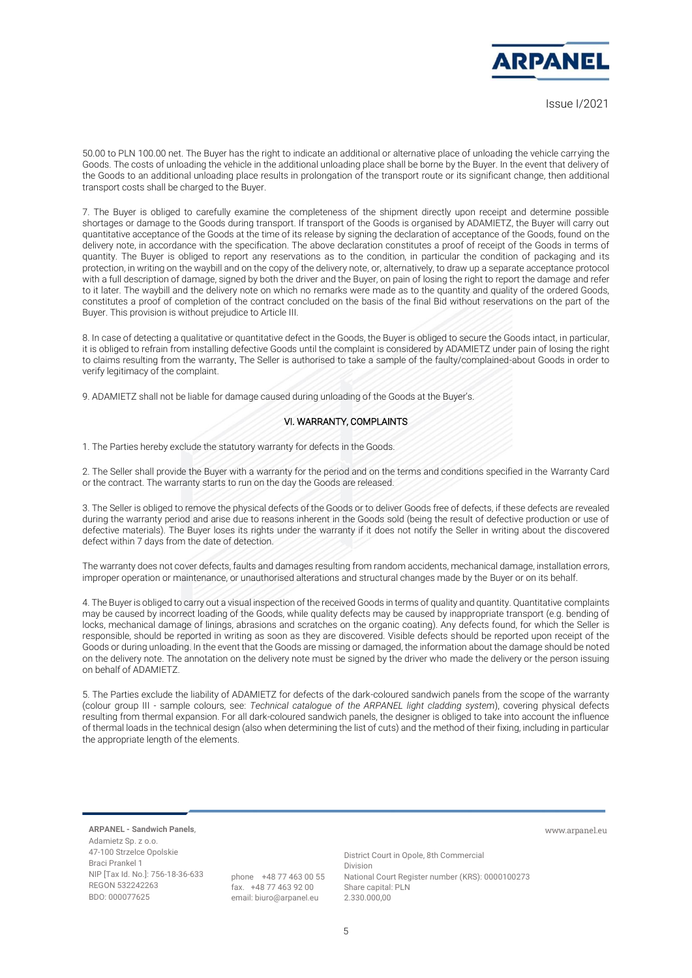

# Issue I/2021

50.00 to PLN 100.00 net. The Buyer has the right to indicate an additional or alternative place of unloading the vehicle carrying the Goods. The costs of unloading the vehicle in the additional unloading place shall be borne by the Buyer. In the event that delivery of the Goods to an additional unloading place results in prolongation of the transport route or its significant change, then additional transport costs shall be charged to the Buyer.

7. The Buyer is obliged to carefully examine the completeness of the shipment directly upon receipt and determine possible shortages or damage to the Goods during transport. If transport of the Goods is organised by ADAMIETZ, the Buyer will carry out quantitative acceptance of the Goods at the time of its release by signing the declaration of acceptance of the Goods, found on the delivery note, in accordance with the specification. The above declaration constitutes a proof of receipt of the Goods in terms of quantity. The Buyer is obliged to report any reservations as to the condition, in particular the condition of packaging and its protection, in writing on the waybill and on the copy of the delivery note, or, alternatively, to draw up a separate acceptance protocol with a full description of damage, signed by both the driver and the Buyer, on pain of losing the right to report the damage and refer to it later. The waybill and the delivery note on which no remarks were made as to the quantity and quality of the ordered Goods, constitutes a proof of completion of the contract concluded on the basis of the final Bid without reservations on the part of the Buyer. This provision is without prejudice to Article III.

8. In case of detecting a qualitative or quantitative defect in the Goods, the Buyer is obliged to secure the Goods intact, in particular, it is obliged to refrain from installing defective Goods until the complaint is considered by ADAMIETZ under pain of losing the right to claims resulting from the warranty. The Seller is authorised to take a sample of the faulty/complained-about Goods in order to verify legitimacy of the complaint.

9. ADAMIETZ shall not be liable for damage caused during unloading of the Goods at the Buyer's.

#### VI. WARRANTY, COMPLAINTS

1. The Parties hereby exclude the statutory warranty for defects in the Goods.

2. The Seller shall provide the Buyer with a warranty for the period and on the terms and conditions specified in the Warranty Card or the contract. The warranty starts to run on the day the Goods are released.

3. The Seller is obliged to remove the physical defects of the Goods or to deliver Goods free of defects, if these defects are revealed during the warranty period and arise due to reasons inherent in the Goods sold (being the result of defective production or use of defective materials). The Buyer loses its rights under the warranty if it does not notify the Seller in writing about the discovered defect within 7 days from the date of detection.

The warranty does not cover defects, faults and damages resulting from random accidents, mechanical damage, installation errors, improper operation or maintenance, or unauthorised alterations and structural changes made by the Buyer or on its behalf.

4. The Buyer is obliged to carry out a visual inspection of the received Goods in terms of quality and quantity. Quantitative complaints may be caused by incorrect loading of the Goods, while quality defects may be caused by inappropriate transport (e.g. bending of locks, mechanical damage of linings, abrasions and scratches on the organic coating). Any defects found, for which the Seller is responsible, should be reported in writing as soon as they are discovered. Visible defects should be reported upon receipt of the Goods or during unloading. In the event that the Goods are missing or damaged, the information about the damage should be noted on the delivery note. The annotation on the delivery note must be signed by the driver who made the delivery or the person issuing on behalf of ADAMIETZ.

5. The Parties exclude the liability of ADAMIETZ for defects of the dark-coloured sandwich panels from the scope of the warranty (colour group III *-* sample colours, see: *Technical catalogue of the ARPANEL light cladding system*), covering physical defects resulting from thermal expansion. For all dark-coloured sandwich panels, the designer is obliged to take into account the influence of thermal loads in the technical design (also when determining the list of cuts) and the method of their fixing, including in particular the appropriate length of the elements.

**ARPANEL - Sandwich Panels**, Adamietz Sp. z o.o. 47-100 Strzelce Opolskie Braci Prankel 1 NIP [Tax Id. No.]: 756-18-36-633 REGON 532242263 BDO: 000077625

phone +48 77 463 00 55 fax. +48 77 463 92 00 email: biuro@arpanel.eu

District Court in Opole, 8th Commercial Division National Court Register number (KRS): 0000100273 Share capital: PLN 2.330.000,00

www.arpanel.eu